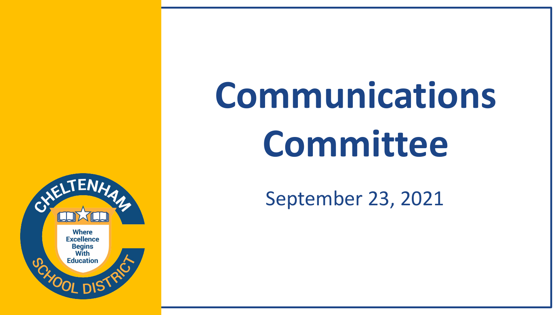

# **Communications Committee**

#### September 23, 2021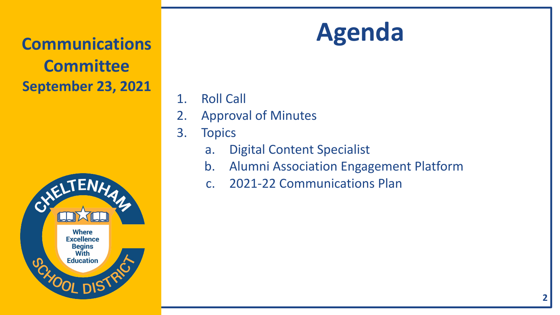

#### 1. Roll Call

- 2. Approval of Minutes
- 3. Topics
	- a. Digital Content Specialist
	- b. Alumni Association Engagement Platform
	- c. 2021-22 Communications Plan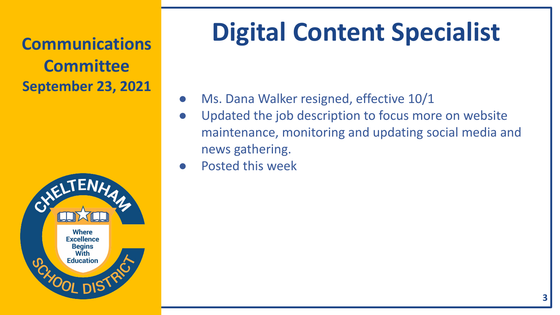**Committee September 23, 2021**



# **Digital Content Specialist Communications**

- Ms. Dana Walker resigned, effective 10/1
- Updated the job description to focus more on website maintenance, monitoring and updating social media and news gathering.
- Posted this week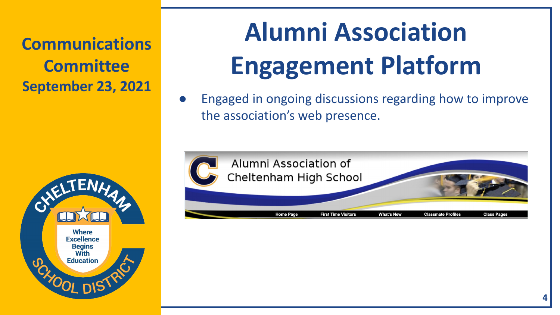

## **Alumni Association Engagement Platform**

Engaged in ongoing discussions regarding how to improve the association's web presence.

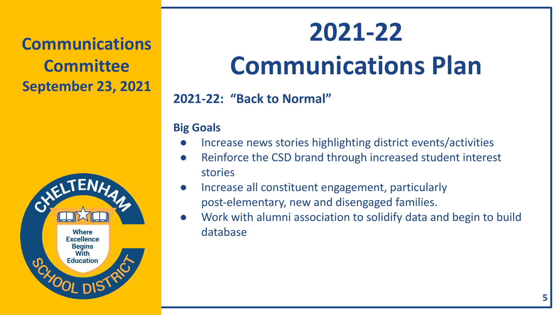

### **2021-22**

### **Communications Plan**

**2021-22: "Back to Normal"**

#### **Big Goals**

- Increase news stories highlighting district events/activities
- Reinforce the CSD brand through increased student interest stories
- Increase all constituent engagement, particularly post-elementary, new and disengaged families.
- Work with alumni association to solidify data and begin to build database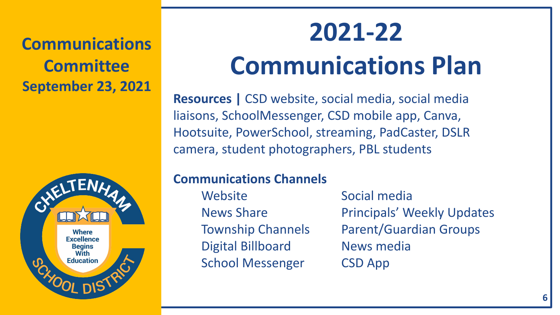

#### **2021-22**

### **Communications Plan**

**Resources |** CSD website, social media, social media liaisons, SchoolMessenger, CSD mobile app, Canva, Hootsuite, PowerSchool, streaming, PadCaster, DSLR camera, student photographers, PBL students

#### **Communications Channels**

Website Social media Digital Billboard News media School Messenger CSD App

News Share **Principals' Weekly Updates** Township Channels Parent/Guardian Groups